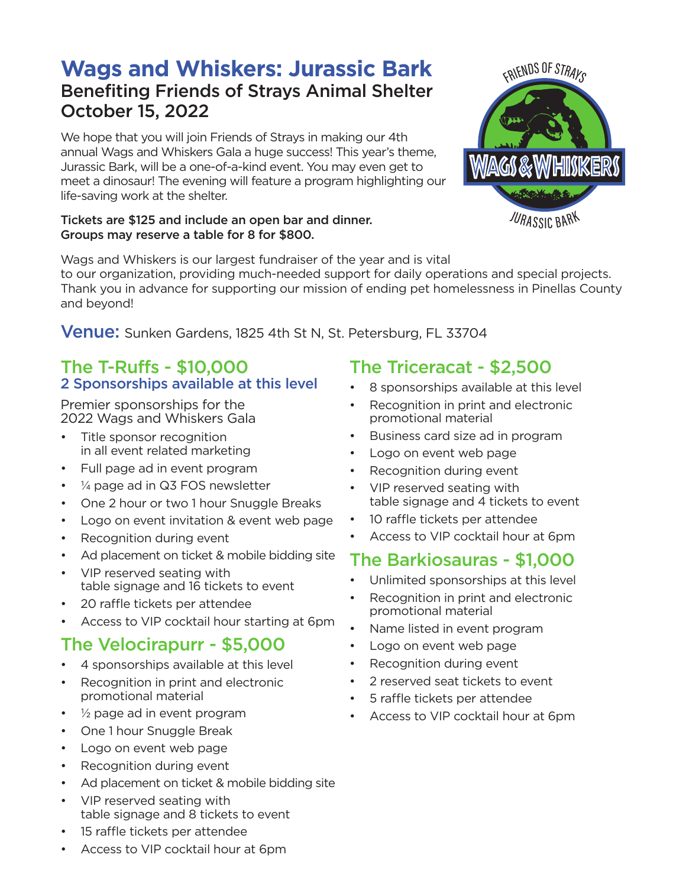# **Wags and Whiskers: Jurassic Bark**  Benefiting Friends of Strays Animal Shelter October 15, 2022

We hope that you will join Friends of Strays in making our 4th annual Wags and Whiskers Gala a huge success! This year's theme, Jurassic Bark, will be a one-of-a-kind event. You may even get to meet a dinosaur! The evening will feature a program highlighting our life-saving work at the shelter.

#### Tickets are \$125 and include an open bar and dinner. Groups may reserve a table for 8 for \$800.

Wags and Whiskers is our largest fundraiser of the year and is vital to our organization, providing much-needed support for daily operations and special projects. Thank you in advance for supporting our mission of ending pet homelessness in Pinellas County and beyond!

**Venue:** Sunken Gardens, 1825 4th St N, St. Petersburg, FL 33704

#### The T-Ruffs - \$10,000 2 Sponsorships available at this level

Premier sponsorships for the 2022 Wags and Whiskers Gala

- Title sponsor recognition in all event related marketing
- Full page ad in event program
- $\frac{1}{4}$  page ad in Q3 FOS newsletter
- One 2 hour or two 1 hour Snuggle Breaks
- Logo on event invitation & event web page
- Recognition during event
- Ad placement on ticket & mobile bidding site
- VIP reserved seating with table signage and 16 tickets to event
- 20 raffle tickets per attendee
- Access to VIP cocktail hour starting at 6pm

## The Velocirapurr - \$5,000

- 4 sponsorships available at this level
- Recognition in print and electronic promotional material
- $\frac{1}{2}$  page ad in event program
- One 1 hour Snuggle Break
- Logo on event web page
- Recognition during event
- Ad placement on ticket & mobile bidding site
- VIP reserved seating with table signage and 8 tickets to event
- 15 raffle tickets per attendee
- Access to VIP cocktail hour at 6pm

#### The Triceracat - \$2,500

- 8 sponsorships available at this level
- Recognition in print and electronic promotional material
- Business card size ad in program
- Logo on event web page
- Recognition during event
- VIP reserved seating with table signage and 4 tickets to event
- 10 raffle tickets per attendee
- Access to VIP cocktail hour at 6pm

## The Barkiosauras - \$1,000

- Unlimited sponsorships at this level
- Recognition in print and electronic promotional material
- Name listed in event program
- Logo on event web page
- Recognition during event
- 2 reserved seat tickets to event
- 5 raffle tickets per attendee
- Access to VIP cocktail hour at 6pm